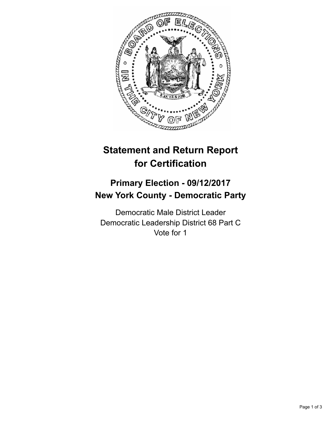

## **Statement and Return Report for Certification**

## **Primary Election - 09/12/2017 New York County - Democratic Party**

Democratic Male District Leader Democratic Leadership District 68 Part C Vote for 1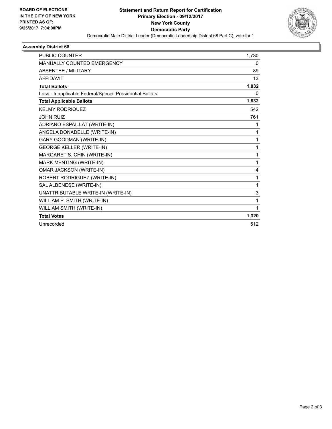

## **Assembly District 68**

| <b>PUBLIC COUNTER</b>                                    | 1,730        |
|----------------------------------------------------------|--------------|
| <b>MANUALLY COUNTED EMERGENCY</b>                        | $\mathbf{0}$ |
| <b>ABSENTEE / MILITARY</b>                               | 89           |
| <b>AFFIDAVIT</b>                                         | 13           |
| <b>Total Ballots</b>                                     | 1,832        |
| Less - Inapplicable Federal/Special Presidential Ballots | $\Omega$     |
| <b>Total Applicable Ballots</b>                          | 1,832        |
| <b>KELMY RODRIQUEZ</b>                                   | 542          |
| <b>JOHN RUIZ</b>                                         | 761          |
| ADRIANO ESPAILLAT (WRITE-IN)                             | 1            |
| ANGELA DONADELLE (WRITE-IN)                              | 1            |
| <b>GARY GOODMAN (WRITE-IN)</b>                           | 1            |
| <b>GEORGE KELLER (WRITE-IN)</b>                          | 1            |
| MARGARET S. CHIN (WRITE-IN)                              | 1            |
| MARK MENTING (WRITE-IN)                                  | 1            |
| OMAR JACKSON (WRITE-IN)                                  | 4            |
| ROBERT RODRIGUEZ (WRITE-IN)                              | 1            |
| SAL ALBENESE (WRITE-IN)                                  | $\mathbf{1}$ |
| UNATTRIBUTABLE WRITE-IN (WRITE-IN)                       | $\mathsf 3$  |
| WILLIAM P. SMITH (WRITE-IN)                              | 1            |
| WILLIAM SMITH (WRITE-IN)                                 | 1            |
| <b>Total Votes</b>                                       | 1,320        |
| Unrecorded                                               | 512          |